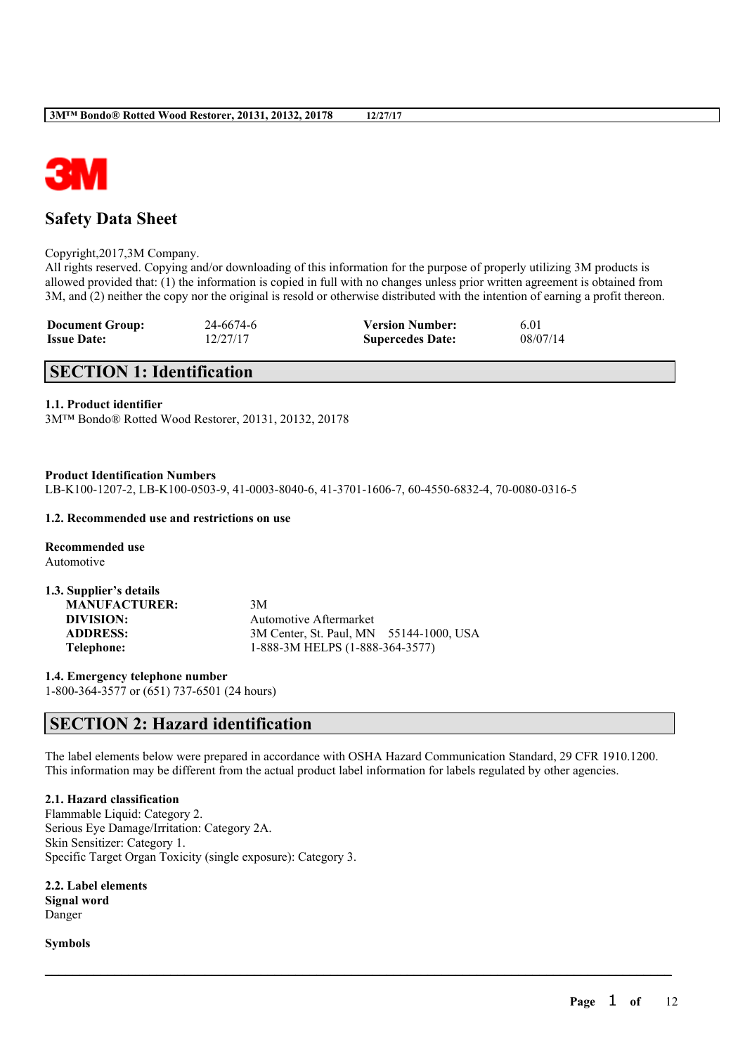

# **Safety Data Sheet**

Copyright,2017,3M Company.

All rights reserved. Copying and/or downloading of this information for the purpose of properly utilizing 3M products is allowed provided that: (1) the information is copied in full with no changes unless prior written agreement is obtained from 3M, and (2) neither the copy nor the original is resold or otherwise distributed with the intention of earning a profit thereon.

| <b>Document Group:</b> | 24-6674-6 | <b>Version Number:</b>  | 6.01     |
|------------------------|-----------|-------------------------|----------|
| <b>Issue Date:</b>     | 12/27/17  | <b>Supercedes Date:</b> | 08/07/14 |

# **SECTION 1: Identification**

### **1.1. Product identifier**

3M™ Bondo® Rotted Wood Restorer, 20131, 20132, 20178

### **Product Identification Numbers**

LB-K100-1207-2, LB-K100-0503-9, 41-0003-8040-6, 41-3701-1606-7, 60-4550-6832-4, 70-0080-0316-5

### **1.2. Recommended use and restrictions on use**

**Recommended use** Automotive

| 1.3. Supplier's details |                                         |  |
|-------------------------|-----------------------------------------|--|
| <b>MANUFACTURER:</b>    | 3M                                      |  |
| DIVISION:               | Automotive Aftermarket                  |  |
| <b>ADDRESS:</b>         | 3M Center, St. Paul, MN 55144-1000, USA |  |
| Telephone:              | 1-888-3M HELPS (1-888-364-3577)         |  |
|                         |                                         |  |

**1.4. Emergency telephone number** 1-800-364-3577 or (651) 737-6501 (24 hours)

# **SECTION 2: Hazard identification**

The label elements below were prepared in accordance with OSHA Hazard Communication Standard, 29 CFR 1910.1200. This information may be different from the actual product label information for labels regulated by other agencies.

 $\mathcal{L}_\mathcal{L} = \mathcal{L}_\mathcal{L} = \mathcal{L}_\mathcal{L} = \mathcal{L}_\mathcal{L} = \mathcal{L}_\mathcal{L} = \mathcal{L}_\mathcal{L} = \mathcal{L}_\mathcal{L} = \mathcal{L}_\mathcal{L} = \mathcal{L}_\mathcal{L} = \mathcal{L}_\mathcal{L} = \mathcal{L}_\mathcal{L} = \mathcal{L}_\mathcal{L} = \mathcal{L}_\mathcal{L} = \mathcal{L}_\mathcal{L} = \mathcal{L}_\mathcal{L} = \mathcal{L}_\mathcal{L} = \mathcal{L}_\mathcal{L}$ 

### **2.1. Hazard classification**

Flammable Liquid: Category 2. Serious Eye Damage/Irritation: Category 2A. Skin Sensitizer: Category 1. Specific Target Organ Toxicity (single exposure): Category 3.

**2.2. Label elements Signal word** Danger

**Symbols**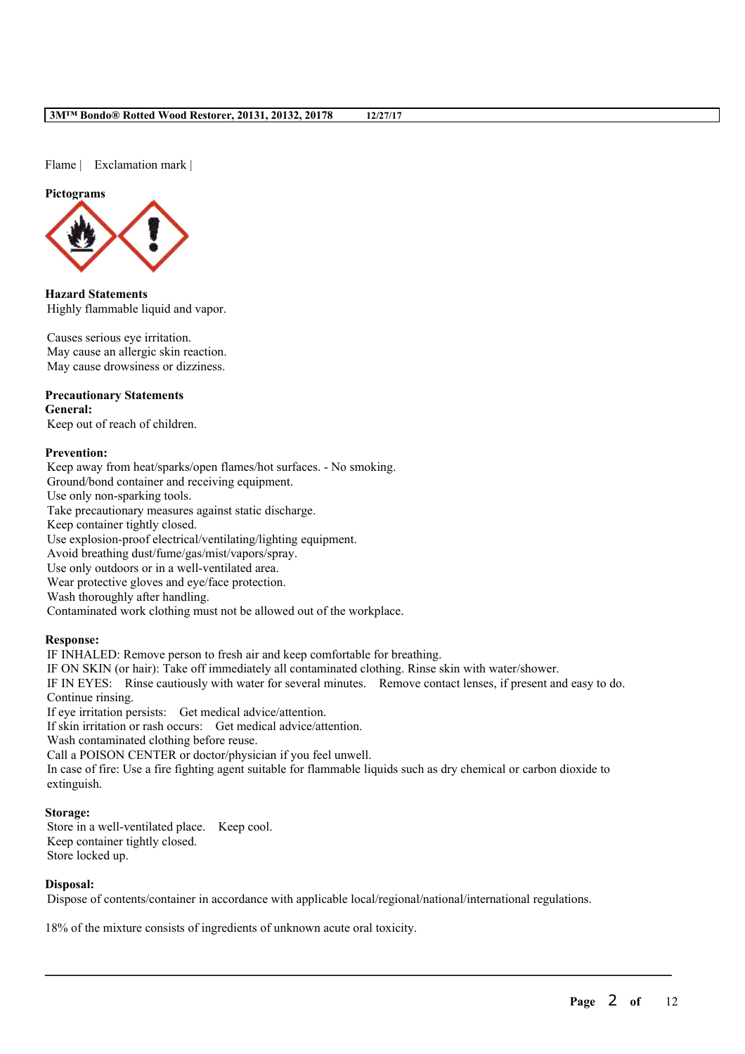Flame | Exclamation mark |

### **Pictograms**



- **Hazard Statements** Highly flammable liquid and vapor.
- Causes serious eye irritation. May cause an allergic skin reaction. May cause drowsiness or dizziness.

### **Precautionary Statements**

### **General:**

Keep out of reach of children.

### **Prevention:**

Keep away from heat/sparks/open flames/hot surfaces. - No smoking. Ground/bond container and receiving equipment. Use only non-sparking tools. Take precautionary measures against static discharge. Keep container tightly closed. Use explosion-proof electrical/ventilating/lighting equipment. Avoid breathing dust/fume/gas/mist/vapors/spray. Use only outdoors or in a well-ventilated area. Wear protective gloves and eye/face protection. Wash thoroughly after handling. Contaminated work clothing must not be allowed out of the workplace.

### **Response:**

IF INHALED: Remove person to fresh air and keep comfortable for breathing. IF ON SKIN (or hair): Take off immediately all contaminated clothing. Rinse skin with water/shower. IF IN EYES: Rinse cautiously with water for several minutes. Remove contact lenses, if present and easy to do. Continue rinsing. If eye irritation persists: Get medical advice/attention. If skin irritation or rash occurs: Get medical advice/attention. Wash contaminated clothing before reuse. Call a POISON CENTER or doctor/physician if you feel unwell. In case of fire: Use a fire fighting agent suitable for flammable liquids such as dry chemical or carbon dioxide to extinguish. **Storage:**

## Store in a well-ventilated place. Keep cool. Keep container tightly closed. Store locked up.

### **Disposal:**

Dispose of contents/container in accordance with applicable local/regional/national/international regulations.

 $\mathcal{L}_\mathcal{L} = \mathcal{L}_\mathcal{L} = \mathcal{L}_\mathcal{L} = \mathcal{L}_\mathcal{L} = \mathcal{L}_\mathcal{L} = \mathcal{L}_\mathcal{L} = \mathcal{L}_\mathcal{L} = \mathcal{L}_\mathcal{L} = \mathcal{L}_\mathcal{L} = \mathcal{L}_\mathcal{L} = \mathcal{L}_\mathcal{L} = \mathcal{L}_\mathcal{L} = \mathcal{L}_\mathcal{L} = \mathcal{L}_\mathcal{L} = \mathcal{L}_\mathcal{L} = \mathcal{L}_\mathcal{L} = \mathcal{L}_\mathcal{L}$ 

18% of the mixture consists of ingredients of unknown acute oral toxicity.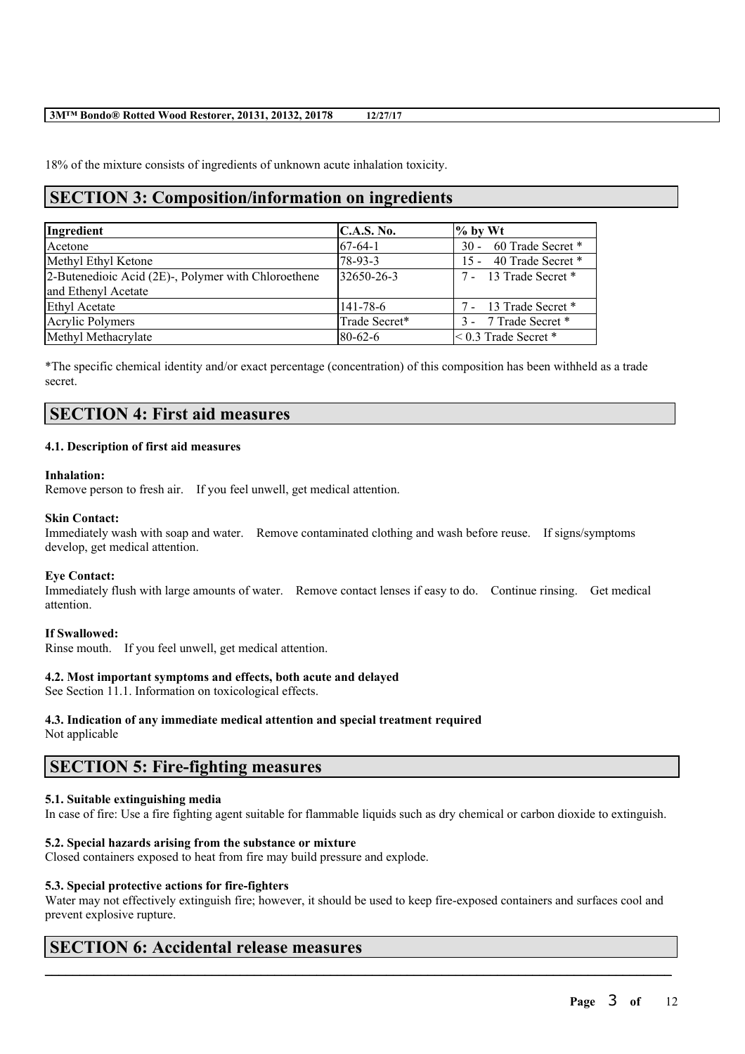18% of the mixture consists of ingredients of unknown acute inhalation toxicity.

# **SECTION 3: Composition/information on ingredients**

| Ingredient                                          | C.A.S. No.    | $%$ by Wt                 |
|-----------------------------------------------------|---------------|---------------------------|
| Acetone                                             | $67-64-1$     | 30 - 60 Trade Secret *    |
| Methyl Ethyl Ketone                                 | $78-93-3$     | 15 - 40 Trade Secret *    |
| 2-Butenedioic Acid (2E)-, Polymer with Chloroethene | 32650-26-3    | 7 - 13 Trade Secret *     |
| and Ethenyl Acetate                                 |               |                           |
| Ethyl Acetate                                       | 141-78-6      | 7 - 13 Trade Secret *     |
| <b>Acrylic Polymers</b>                             | Trade Secret* | 3 - 7 Trade Secret *      |
| Methyl Methacrylate                                 | $80 - 62 - 6$ | $\leq 0.3$ Trade Secret * |

\*The specific chemical identity and/or exact percentage (concentration) of this composition has been withheld as a trade secret.

# **SECTION 4: First aid measures**

### **4.1. Description of first aid measures**

### **Inhalation:**

Remove person to fresh air. If you feel unwell, get medical attention.

### **Skin Contact:**

Immediately wash with soap and water. Remove contaminated clothing and wash before reuse. If signs/symptoms develop, get medical attention.

### **Eye Contact:**

Immediately flush with large amounts of water. Remove contact lenses if easy to do. Continue rinsing. Get medical attention.

### **If Swallowed:**

Rinse mouth. If you feel unwell, get medical attention.

### **4.2. Most important symptoms and effects, both acute and delayed**

See Section 11.1. Information on toxicological effects.

### **4.3. Indication of any immediate medical attention and special treatment required**

Not applicable

# **SECTION 5: Fire-fighting measures**

### **5.1. Suitable extinguishing media**

In case of fire: Use a fire fighting agent suitable for flammable liquids such as dry chemical or carbon dioxide to extinguish.

### **5.2. Special hazards arising from the substance or mixture**

Closed containers exposed to heat from fire may build pressure and explode.

### **5.3. Special protective actions for fire-fighters**

Water may not effectively extinguish fire; however, it should be used to keep fire-exposed containers and surfaces cool and prevent explosive rupture.

 $\mathcal{L}_\mathcal{L} = \mathcal{L}_\mathcal{L} = \mathcal{L}_\mathcal{L} = \mathcal{L}_\mathcal{L} = \mathcal{L}_\mathcal{L} = \mathcal{L}_\mathcal{L} = \mathcal{L}_\mathcal{L} = \mathcal{L}_\mathcal{L} = \mathcal{L}_\mathcal{L} = \mathcal{L}_\mathcal{L} = \mathcal{L}_\mathcal{L} = \mathcal{L}_\mathcal{L} = \mathcal{L}_\mathcal{L} = \mathcal{L}_\mathcal{L} = \mathcal{L}_\mathcal{L} = \mathcal{L}_\mathcal{L} = \mathcal{L}_\mathcal{L}$ 

# **SECTION 6: Accidental release measures**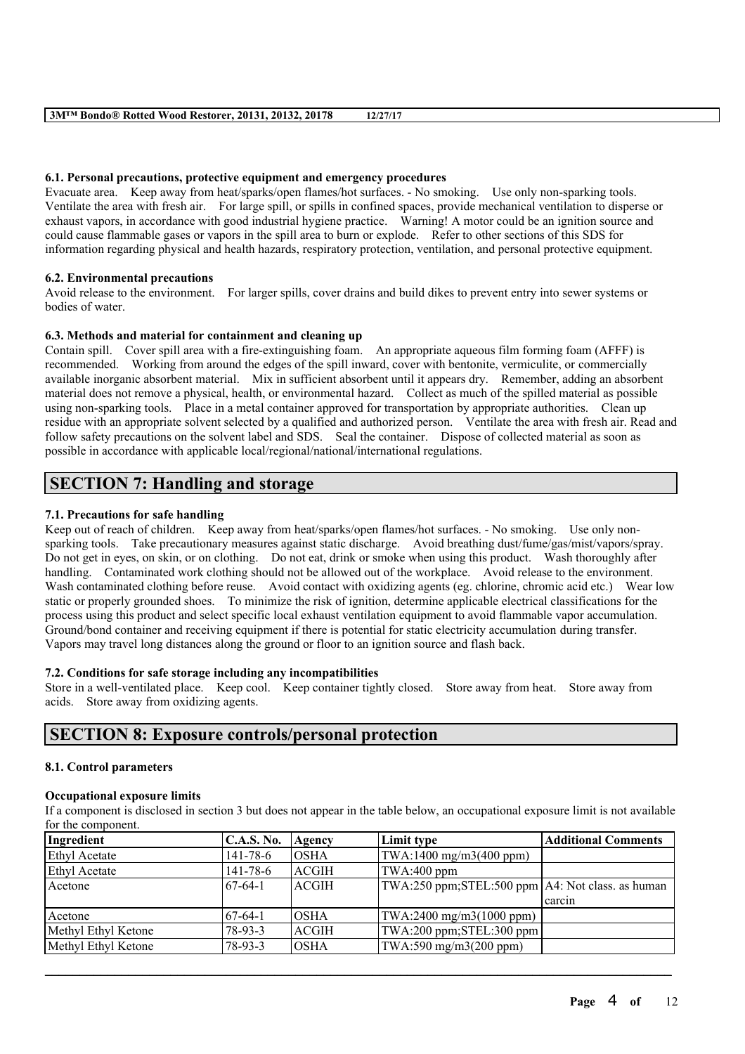### **6.1. Personal precautions, protective equipment and emergency procedures**

Evacuate area. Keep away from heat/sparks/open flames/hot surfaces. - No smoking. Use only non-sparking tools. Ventilate the area with fresh air. For large spill, or spills in confined spaces, provide mechanical ventilation to disperse or exhaust vapors, in accordance with good industrial hygiene practice. Warning! A motor could be an ignition source and could cause flammable gases or vapors in the spill area to burn or explode. Refer to other sections of this SDS for information regarding physical and health hazards, respiratory protection, ventilation, and personal protective equipment.

### **6.2. Environmental precautions**

Avoid release to the environment. For larger spills, cover drains and build dikes to prevent entry into sewer systems or bodies of water.

### **6.3. Methods and material for containment and cleaning up**

Contain spill. Cover spill area with a fire-extinguishing foam. An appropriate aqueous film forming foam (AFFF) is recommended. Working from around the edges of the spill inward, cover with bentonite, vermiculite, or commercially available inorganic absorbent material. Mix in sufficient absorbent until it appears dry. Remember, adding an absorbent material does not remove a physical, health, or environmental hazard. Collect as much of the spilled material as possible using non-sparking tools. Place in a metal container approved for transportation by appropriate authorities. Clean up residue with an appropriate solvent selected by a qualified and authorized person. Ventilate the area with fresh air. Read and follow safety precautions on the solvent label and SDS. Seal the container. Dispose of collected material as soon as possible in accordance with applicable local/regional/national/international regulations.

# **SECTION 7: Handling and storage**

### **7.1. Precautions for safe handling**

Keep out of reach of children. Keep away from heat/sparks/open flames/hot surfaces. - No smoking. Use only nonsparking tools. Take precautionary measures against static discharge. Avoid breathing dust/fume/gas/mist/vapors/spray. Do not get in eyes, on skin, or on clothing. Do not eat, drink or smoke when using this product. Wash thoroughly after handling. Contaminated work clothing should not be allowed out of the workplace. Avoid release to the environment. Wash contaminated clothing before reuse. Avoid contact with oxidizing agents (eg. chlorine, chromic acid etc.) Wear low static or properly grounded shoes. To minimize the risk of ignition, determine applicable electrical classifications for the process using this product and select specific local exhaust ventilation equipment to avoid flammable vapor accumulation. Ground/bond container and receiving equipment if there is potential for static electricity accumulation during transfer. Vapors may travel long distances along the ground or floor to an ignition source and flash back.

### **7.2. Conditions for safe storage including any incompatibilities**

Store in a well-ventilated place. Keep cool. Keep container tightly closed. Store away from heat. Store away from acids. Store away from oxidizing agents.

# **SECTION 8: Exposure controls/personal protection**

### **8.1. Control parameters**

### **Occupational exposure limits**

If a component is disclosed in section 3 but does not appear in the table below, an occupational exposure limit is not available for the component.

| Ingredient           | C.A.S. No. | Agency | Limit type                                          | <b>Additional Comments</b> |
|----------------------|------------|--------|-----------------------------------------------------|----------------------------|
| <b>Ethyl Acetate</b> | 141-78-6   | IOSHA  | $\text{TWA}: 1400 \text{ mg/m}3(400 \text{ ppm})$   |                            |
| <b>Ethyl Acetate</b> | 141-78-6   | ACGIH  | TWA:400 ppm                                         |                            |
| Acetone              | $67-64-1$  | ACGIH  | TWA:250 ppm;STEL:500 ppm   A4: Not class. as human  |                            |
|                      |            |        |                                                     | l carcin                   |
| Acetone              | $67-64-1$  | IOSHA  | $\text{TWA:} 2400 \text{ mg/m} 3(1000 \text{ ppm})$ |                            |
| Methyl Ethyl Ketone  | $78-93-3$  | ACGIH  | TWA:200 ppm;STEL:300 ppm                            |                            |
| Methyl Ethyl Ketone  | 78-93-3    | IOSHA  | $\text{TWA}:590 \text{ mg/m}3(200 \text{ ppm})$     |                            |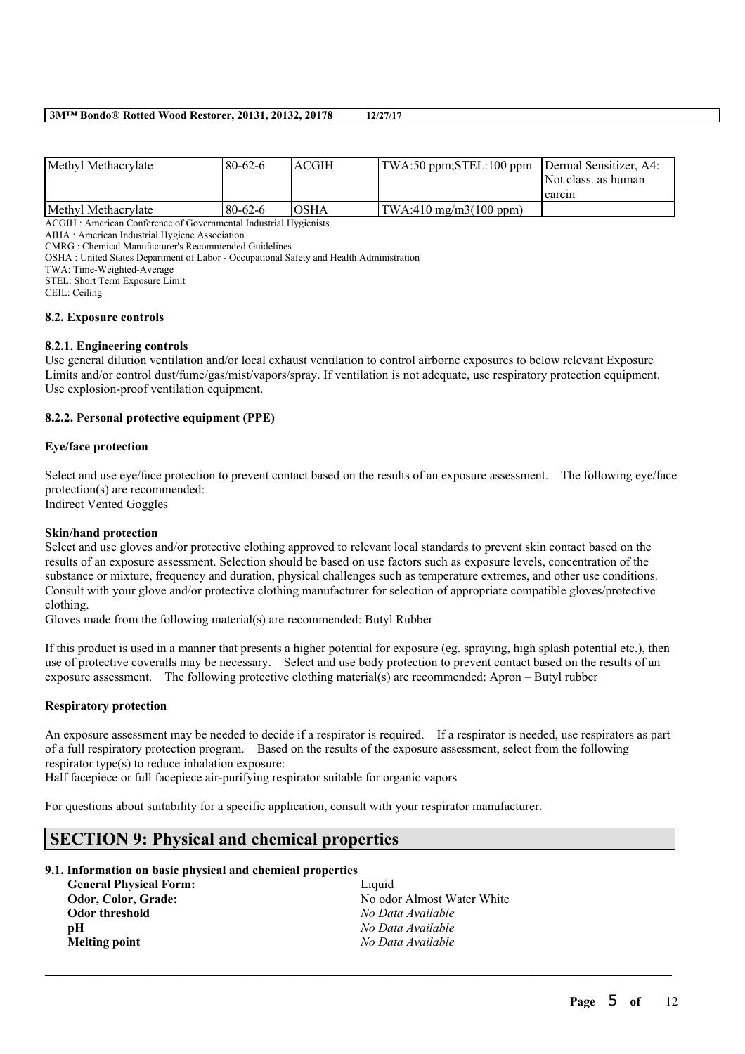| Methyl Methacrylate | $80-62-6$ | <b>ACGIH</b> | TWA:50 ppm;STEL:100 ppm   Dermal Sensitizer, A4: | Not class, as human<br>carcin |
|---------------------|-----------|--------------|--------------------------------------------------|-------------------------------|
|                     |           |              |                                                  |                               |
| Methyl Methacrylate | $80-62-6$ | OSHA         | $(TWA:410 \text{ mg/m}3(100 \text{ ppm})$        |                               |

ACGIH : American Conference of Governmental Industrial Hygienists

AIHA : American Industrial Hygiene Association

CMRG : Chemical Manufacturer's Recommended Guidelines

OSHA : United States Department of Labor - Occupational Safety and Health Administration

TWA: Time-Weighted-Average

STEL: Short Term Exposure Limit

CEIL: Ceiling

#### **8.2. Exposure controls**

### **8.2.1. Engineering controls**

Use general dilution ventilation and/or local exhaust ventilation to control airborne exposures to below relevant Exposure Limits and/or control dust/fume/gas/mist/vapors/spray. If ventilation is not adequate, use respiratory protection equipment. Use explosion-proof ventilation equipment.

### **8.2.2. Personal protective equipment (PPE)**

### **Eye/face protection**

Select and use eye/face protection to prevent contact based on the results of an exposure assessment. The following eye/face protection(s) are recommended: Indirect Vented Goggles

### **Skin/hand protection**

Select and use gloves and/or protective clothing approved to relevant local standards to prevent skin contact based on the results of an exposure assessment. Selection should be based on use factors such as exposure levels, concentration of the substance or mixture, frequency and duration, physical challenges such as temperature extremes, and other use conditions. Consult with your glove and/or protective clothing manufacturer for selection of appropriate compatible gloves/protective clothing.

Gloves made from the following material(s) are recommended: Butyl Rubber

If this product is used in a manner that presents a higher potential for exposure (eg. spraying, high splash potential etc.), then use of protective coveralls may be necessary. Select and use body protection to prevent contact based on the results of an exposure assessment. The following protective clothing material(s) are recommended: Apron – Butyl rubber

### **Respiratory protection**

An exposure assessment may be needed to decide if a respirator is required. If a respirator is needed, use respirators as part of a full respiratory protection program. Based on the results of the exposure assessment, select from the following respirator type(s) to reduce inhalation exposure:

 $\mathcal{L}_\mathcal{L} = \mathcal{L}_\mathcal{L} = \mathcal{L}_\mathcal{L} = \mathcal{L}_\mathcal{L} = \mathcal{L}_\mathcal{L} = \mathcal{L}_\mathcal{L} = \mathcal{L}_\mathcal{L} = \mathcal{L}_\mathcal{L} = \mathcal{L}_\mathcal{L} = \mathcal{L}_\mathcal{L} = \mathcal{L}_\mathcal{L} = \mathcal{L}_\mathcal{L} = \mathcal{L}_\mathcal{L} = \mathcal{L}_\mathcal{L} = \mathcal{L}_\mathcal{L} = \mathcal{L}_\mathcal{L} = \mathcal{L}_\mathcal{L}$ 

Half facepiece or full facepiece air-purifying respirator suitable for organic vapors

For questions about suitability for a specific application, consult with your respirator manufacturer.

# **SECTION 9: Physical and chemical properties**

### **9.1. Information on basic physical and chemical properties**

| <b>General Physical Form:</b> | Liquid |
|-------------------------------|--------|
| Odor, Color, Grade:           | No od  |
| Odor threshold                | No Da  |
| рH                            | No Da  |
| <b>Melting point</b>          | No Da  |

**Odor, Color, Grade:** No odor Almost Water White **Odor threshold** *No Data Available* **pH** *No Data Available* **Melting point** *No Data Available*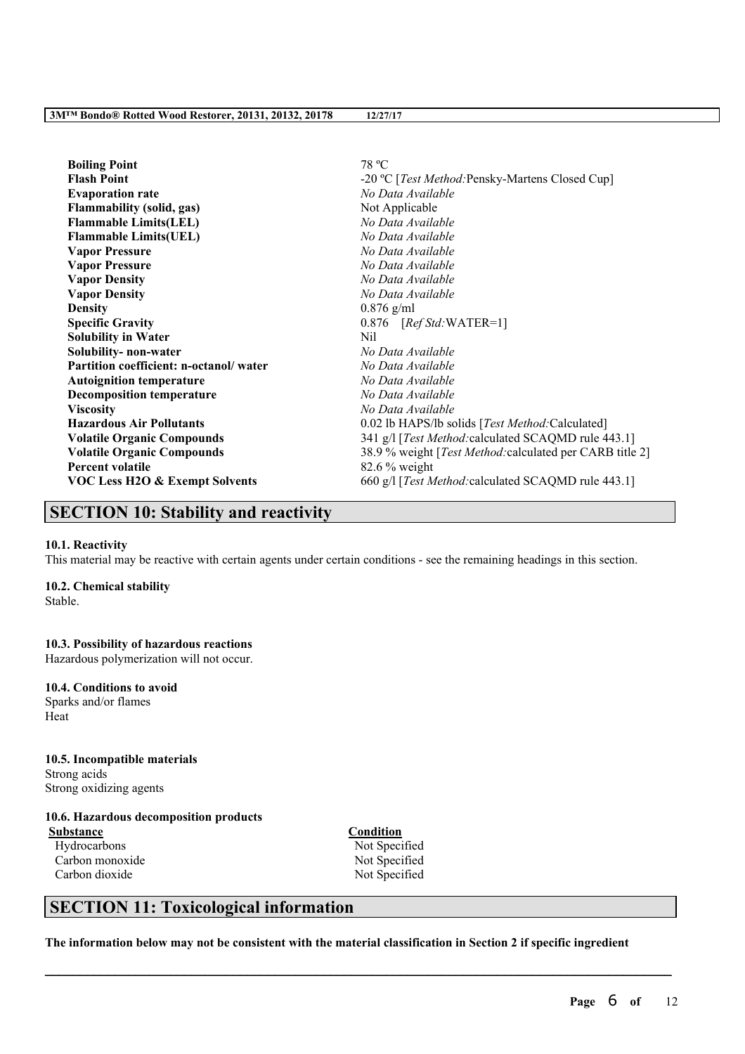| <b>Boiling Point</b>                      | 78 °C                                                       |
|-------------------------------------------|-------------------------------------------------------------|
| <b>Flash Point</b>                        | -20 °C [ <i>Test Method</i> : Pensky-Martens Closed Cup]    |
| <b>Evaporation rate</b>                   | No Data Available                                           |
| <b>Flammability (solid, gas)</b>          | Not Applicable                                              |
| <b>Flammable Limits(LEL)</b>              | No Data Available                                           |
| <b>Flammable Limits(UEL)</b>              | No Data Available                                           |
| <b>Vapor Pressure</b>                     | No Data Available                                           |
| <b>Vapor Pressure</b>                     | No Data Available                                           |
| <b>Vapor Density</b>                      | No Data Available                                           |
| <b>Vapor Density</b>                      | No Data Available                                           |
| <b>Density</b>                            | $0.876$ g/ml                                                |
| <b>Specific Gravity</b>                   | $0.876$ [ <i>Ref Std:</i> WATER=1]                          |
| <b>Solubility in Water</b>                | Nil                                                         |
| Solubility- non-water                     | No Data Available                                           |
| Partition coefficient: n-octanol/water    | No Data Available                                           |
| <b>Autoignition temperature</b>           | No Data Available                                           |
| <b>Decomposition temperature</b>          | No Data Available                                           |
| <b>Viscosity</b>                          | No Data Available                                           |
| <b>Hazardous Air Pollutants</b>           | 0.02 lb HAPS/lb solids [Test Method:Calculated]             |
| <b>Volatile Organic Compounds</b>         | 341 g/l [Test Method: calculated SCAQMD rule 443.1]         |
| <b>Volatile Organic Compounds</b>         | 38.9 % weight [Test Method: calculated per CARB title 2]    |
| <b>Percent volatile</b>                   | $82.6\%$ weight                                             |
| <b>VOC Less H2O &amp; Exempt Solvents</b> | 660 g/l [ <i>Test Method:calculated SCAQMD rule 443.1</i> ] |
|                                           |                                                             |

# **SECTION 10: Stability and reactivity**

### **10.1. Reactivity**

This material may be reactive with certain agents under certain conditions - see the remaining headings in this section.

## **10.2. Chemical stability**

Stable.

# **10.3. Possibility of hazardous reactions**

Hazardous polymerization will not occur.

## **10.4. Conditions to avoid**

Sparks and/or flames Heat

### **10.5. Incompatible materials** Strong acids

Strong oxidizing agents

## **10.6. Hazardous decomposition products**

**Substance Condition** Hydrocarbons Not Specified Carbon monoxide Not Specified Carbon dioxide Not Specified

# **SECTION 11: Toxicological information**

The information below may not be consistent with the material classification in Section 2 if specific ingredient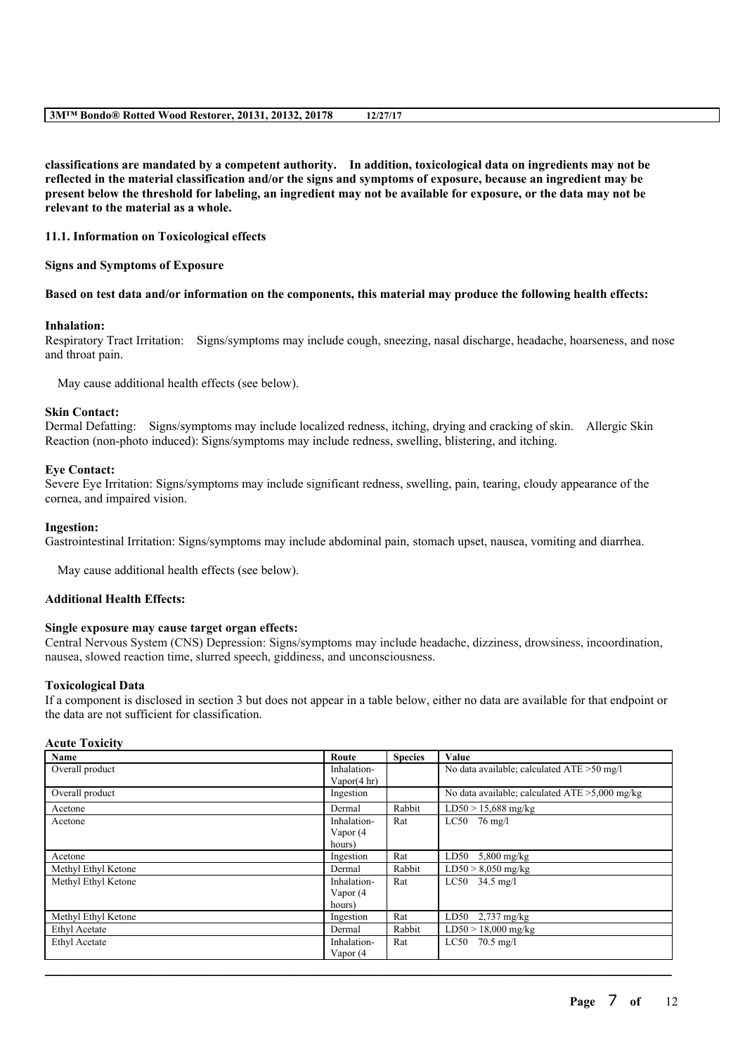**classifications are mandated by a competent authority. In addition, toxicological data on ingredients may not be** reflected in the material classification and/or the signs and symptoms of exposure, because an ingredient may be present below the threshold for labeling, an ingredient may not be available for exposure, or the data may not be **relevant to the material as a whole.**

### **11.1. Information on Toxicological effects**

### **Signs and Symptoms of Exposure**

### Based on test data and/or information on the components, this material may produce the following health effects:

### **Inhalation:**

Respiratory Tract Irritation: Signs/symptoms may include cough, sneezing, nasal discharge, headache, hoarseness, and nose and throat pain.

May cause additional health effects (see below).

### **Skin Contact:**

Dermal Defatting: Signs/symptoms may include localized redness, itching, drying and cracking of skin. Allergic Skin Reaction (non-photo induced): Signs/symptoms may include redness, swelling, blistering, and itching.

### **Eye Contact:**

Severe Eye Irritation: Signs/symptoms may include significant redness, swelling, pain, tearing, cloudy appearance of the cornea, and impaired vision.

### **Ingestion:**

Gastrointestinal Irritation: Signs/symptoms may include abdominal pain, stomach upset, nausea, vomiting and diarrhea.

May cause additional health effects (see below).

### **Additional Health Effects:**

### **Single exposure may cause target organ effects:**

Central Nervous System (CNS) Depression: Signs/symptoms may include headache, dizziness, drowsiness, incoordination, nausea, slowed reaction time, slurred speech, giddiness, and unconsciousness.

### **Toxicological Data**

If a component is disclosed in section 3 but does not appear in a table below, either no data are available for that endpoint or the data are not sufficient for classification.

### **Acute Toxicity**

| Name                | Route                                 | <b>Species</b> | Value                                             |
|---------------------|---------------------------------------|----------------|---------------------------------------------------|
| Overall product     | Inhalation-<br>Vapor $(4 \text{ hr})$ |                | No data available; calculated $ATE > 50$ mg/l     |
| Overall product     | Ingestion                             |                | No data available; calculated $ATE > 5,000$ mg/kg |
| Acetone             | Dermal                                | Rabbit         | $LD50 > 15,688$ mg/kg                             |
| Acetone             | Inhalation-<br>Vapor (4<br>hours)     | Rat            | $LC50$ 76 mg/l                                    |
| Acetone             | Ingestion                             | Rat            | $5,800$ mg/kg<br>LD50                             |
| Methyl Ethyl Ketone | Dermal                                | Rabbit         | $LD50 > 8,050$ mg/kg                              |
| Methyl Ethyl Ketone | Inhalation-<br>Vapor (4<br>hours)     | Rat            | $LC50$ 34.5 mg/l                                  |
| Methyl Ethyl Ketone | Ingestion                             | Rat            | LD50 $2,737$ mg/kg                                |
| Ethyl Acetate       | Dermal                                | Rabbit         | $LD50 > 18,000$ mg/kg                             |
| Ethyl Acetate       | Inhalation-<br>Vapor (4               | Rat            | LC50<br>$70.5 \text{ mg/l}$                       |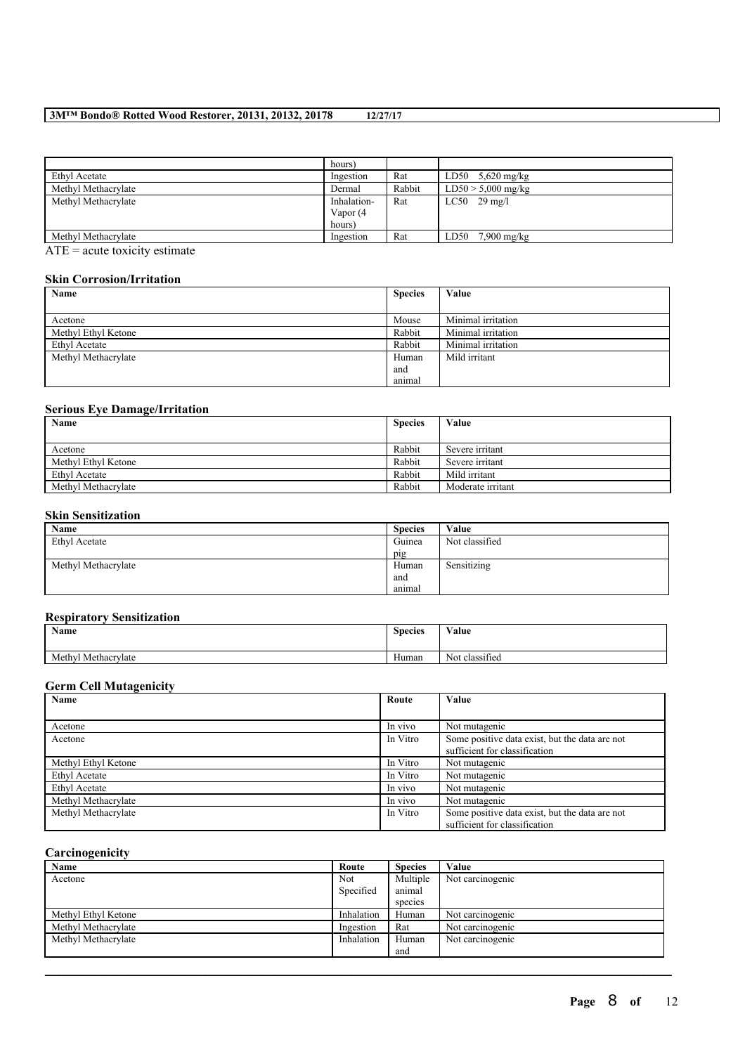|                     | hours)      |        |                       |
|---------------------|-------------|--------|-----------------------|
| Ethyl Acetate       | Ingestion   | Rat    | LD50 $5,620$ mg/kg    |
| Methyl Methacrylate | Dermal      | Rabbit | $LD50 > 5,000$ mg/kg  |
| Methyl Methacrylate | Inhalation- | Rat    | $LC50$ 29 mg/l        |
|                     | Vapor (4    |        |                       |
|                     | hours)      |        |                       |
| Methyl Methacrylate | Ingestion   | Rat    | LD50<br>$7.900$ mg/kg |

 $ATE = acute$  toxicity estimate

## **Skin Corrosion/Irritation**

| Name                | <b>Species</b> | Value              |
|---------------------|----------------|--------------------|
|                     |                |                    |
| Acetone             | Mouse          | Minimal irritation |
| Methyl Ethyl Ketone | Rabbit         | Minimal irritation |
| Ethyl Acetate       | Rabbit         | Minimal irritation |
| Methyl Methacrylate | Human          | Mild irritant      |
|                     | and            |                    |
|                     | animal         |                    |

## **Serious Eye Damage/Irritation**

| Name                | <b>Species</b> | Value             |
|---------------------|----------------|-------------------|
|                     |                |                   |
| Acetone             | Rabbit         | Severe irritant   |
| Methyl Ethyl Ketone | Rabbit         | Severe irritant   |
| Ethyl Acetate       | Rabbit         | Mild irritant     |
| Methyl Methacrylate | Rabbit         | Moderate irritant |

## **Skin Sensitization**

| Name                | <b>Species</b> | Value          |
|---------------------|----------------|----------------|
| Ethyl Acetate       | Guinea         | Not classified |
|                     | pig            |                |
| Methyl Methacrylate | Human          | Sensitizing    |
|                     | and            |                |
|                     | animal         |                |

## **Respiratory Sensitization**

| Name                     | <b>Species</b>     | <b>WY 3</b><br>⁄ alue                      |
|--------------------------|--------------------|--------------------------------------------|
| l Methacrvlate<br>Methyl | <b>TY</b><br>Human | $\sim$<br>Not <sub>0</sub><br>t classified |

## **Germ Cell Mutagenicity**

| Name                 | Route    | Value                                          |
|----------------------|----------|------------------------------------------------|
|                      |          |                                                |
| Acetone              | In vivo  | Not mutagenic                                  |
| Acetone              | In Vitro | Some positive data exist, but the data are not |
|                      |          | sufficient for classification                  |
| Methyl Ethyl Ketone  | In Vitro | Not mutagenic                                  |
| <b>Ethyl Acetate</b> | In Vitro | Not mutagenic                                  |
| <b>Ethyl Acetate</b> | In vivo  | Not mutagenic                                  |
| Methyl Methacrylate  | In vivo  | Not mutagenic                                  |
| Methyl Methacrylate  | In Vitro | Some positive data exist, but the data are not |
|                      |          | sufficient for classification                  |

## **Carcinogenicity**

| Name                | Route      | <b>Species</b> | Value            |
|---------------------|------------|----------------|------------------|
| Acetone             | <b>Not</b> | Multiple       | Not carcinogenic |
|                     | Specified  | animal         |                  |
|                     |            | species        |                  |
| Methyl Ethyl Ketone | Inhalation | Human          | Not carcinogenic |
| Methyl Methacrylate | Ingestion  | Rat            | Not carcinogenic |
| Methyl Methacrylate | Inhalation | Human          | Not carcinogenic |
|                     |            | and            |                  |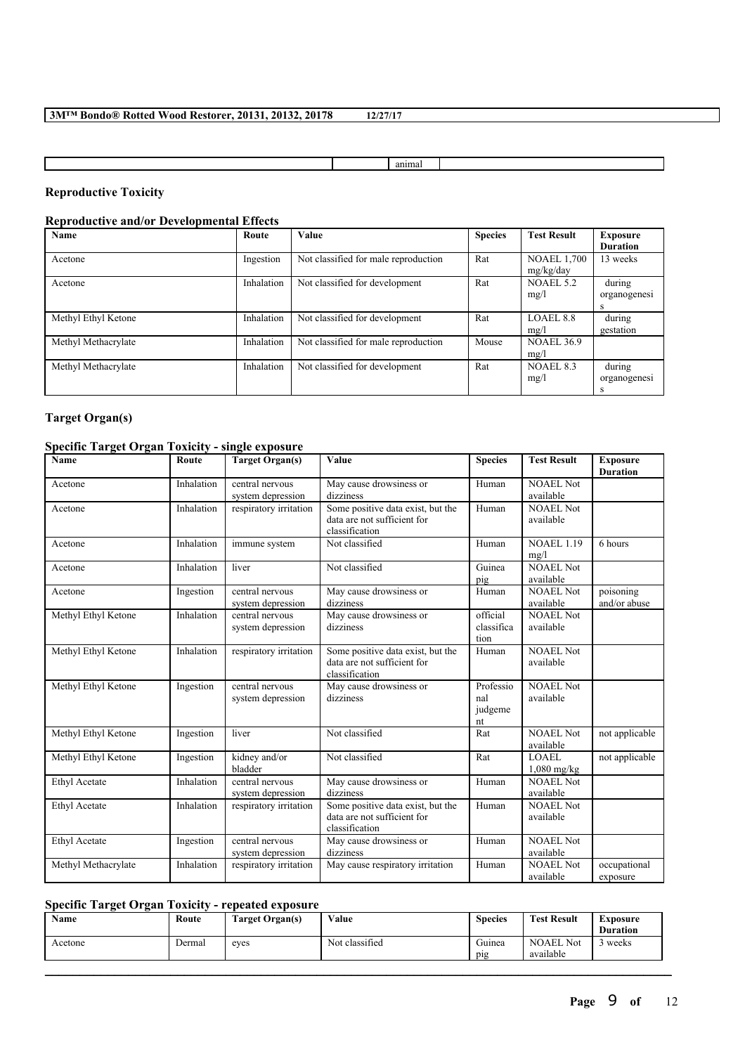animal

# **Reproductive Toxicity**

## **Reproductive and/or Developmental Effects**

| Name                | Route      | <b>Value</b>                         | <b>Species</b> | <b>Test Result</b>              | <b>Exposure</b><br><b>Duration</b> |
|---------------------|------------|--------------------------------------|----------------|---------------------------------|------------------------------------|
| Acetone             | Ingestion  | Not classified for male reproduction | Rat            | <b>NOAEL 1,700</b><br>mg/kg/day | 13 weeks                           |
| Acetone             | Inhalation | Not classified for development       | Rat            | NOAEL 5.2<br>mg/l               | during<br>organogenesi<br>s        |
| Methyl Ethyl Ketone | Inhalation | Not classified for development       | Rat            | LOAEL 8.8<br>mg/l               | during<br>gestation                |
| Methyl Methacrylate | Inhalation | Not classified for male reproduction | Mouse          | <b>NOAEL 36.9</b><br>mg/l       |                                    |
| Methyl Methacrylate | Inhalation | Not classified for development       | Rat            | NOAEL 8.3<br>mg/l               | during<br>organogenesi             |

## **Target Organ(s)**

## **Specific Target Organ Toxicity - single exposure**

| Name                | Route      | <b>Target Organ(s)</b> | Value                             | <b>Species</b> | <b>Test Result</b>        | <b>Exposure</b> |
|---------------------|------------|------------------------|-----------------------------------|----------------|---------------------------|-----------------|
|                     |            |                        |                                   |                |                           | <b>Duration</b> |
| Acetone             | Inhalation | central nervous        | May cause drowsiness or           | Human          | NOAEL Not                 |                 |
|                     |            | system depression      | dizziness                         |                | available                 |                 |
| Acetone             | Inhalation | respiratory irritation | Some positive data exist, but the | Human          | <b>NOAEL Not</b>          |                 |
|                     |            |                        | data are not sufficient for       |                | available                 |                 |
|                     |            |                        | classification                    |                |                           |                 |
| Acetone             | Inhalation | immune system          | Not classified                    | Human          | <b>NOAEL 1.19</b><br>mg/l | 6 hours         |
| Acetone             | Inhalation | liver                  | Not classified                    | Guinea         | NOAEL Not                 |                 |
|                     |            |                        |                                   | pig            | available                 |                 |
| Acetone             | Ingestion  | central nervous        | May cause drowsiness or           | Human          | <b>NOAEL Not</b>          | poisoning       |
|                     |            | system depression      | dizziness                         |                | available                 | and/or abuse    |
| Methyl Ethyl Ketone | Inhalation | central nervous        | May cause drowsiness or           | official       | <b>NOAEL Not</b>          |                 |
|                     |            | system depression      | dizziness                         | classifica     | available                 |                 |
|                     |            |                        |                                   | tion           |                           |                 |
| Methyl Ethyl Ketone | Inhalation | respiratory irritation | Some positive data exist, but the | Human          | <b>NOAEL Not</b>          |                 |
|                     |            |                        | data are not sufficient for       |                | available                 |                 |
|                     |            |                        | classification                    |                |                           |                 |
| Methyl Ethyl Ketone | Ingestion  | central nervous        | May cause drowsiness or           | Professio      | NOAEL Not                 |                 |
|                     |            | system depression      | dizziness                         | nal            | available                 |                 |
|                     |            |                        |                                   | judgeme        |                           |                 |
|                     |            |                        |                                   | nt             |                           |                 |
| Methyl Ethyl Ketone | Ingestion  | liver                  | Not classified                    | Rat            | NOAEL Not                 | not applicable  |
|                     |            |                        |                                   |                | available                 |                 |
| Methyl Ethyl Ketone | Ingestion  | kidney and/or          | Not classified                    | Rat            | <b>LOAEL</b>              | not applicable  |
|                     |            | bladder                |                                   |                | $1,080$ mg/kg             |                 |
| Ethyl Acetate       | Inhalation | central nervous        | May cause drowsiness or           | Human          | <b>NOAEL Not</b>          |                 |
|                     |            | system depression      | dizziness                         |                | available                 |                 |
| Ethyl Acetate       | Inhalation | respiratory irritation | Some positive data exist, but the | Human          | <b>NOAEL Not</b>          |                 |
|                     |            |                        | data are not sufficient for       |                | available                 |                 |
|                     |            |                        | classification                    |                |                           |                 |
| Ethyl Acetate       | Ingestion  | central nervous        | May cause drowsiness or           | Human          | <b>NOAEL Not</b>          |                 |
|                     |            | system depression      | dizziness                         |                | available                 |                 |
| Methyl Methacrylate | Inhalation | respiratory irritation | May cause respiratory irritation  | Human          | <b>NOAEL Not</b>          | occupational    |
|                     |            |                        |                                   |                | available                 | exposure        |

## **Specific Target Organ Toxicity - repeated exposure**

| <b>Name</b> | Route  | Target Organ(s) | Value          | <b>Species</b> | <b>Test Result</b>            | Exposure<br><b>Duration</b> |
|-------------|--------|-----------------|----------------|----------------|-------------------------------|-----------------------------|
| Acetone     | Dermal | eyes            | Not classified | Guinea<br>D12  | <b>NOAEL Not</b><br>available | weeks                       |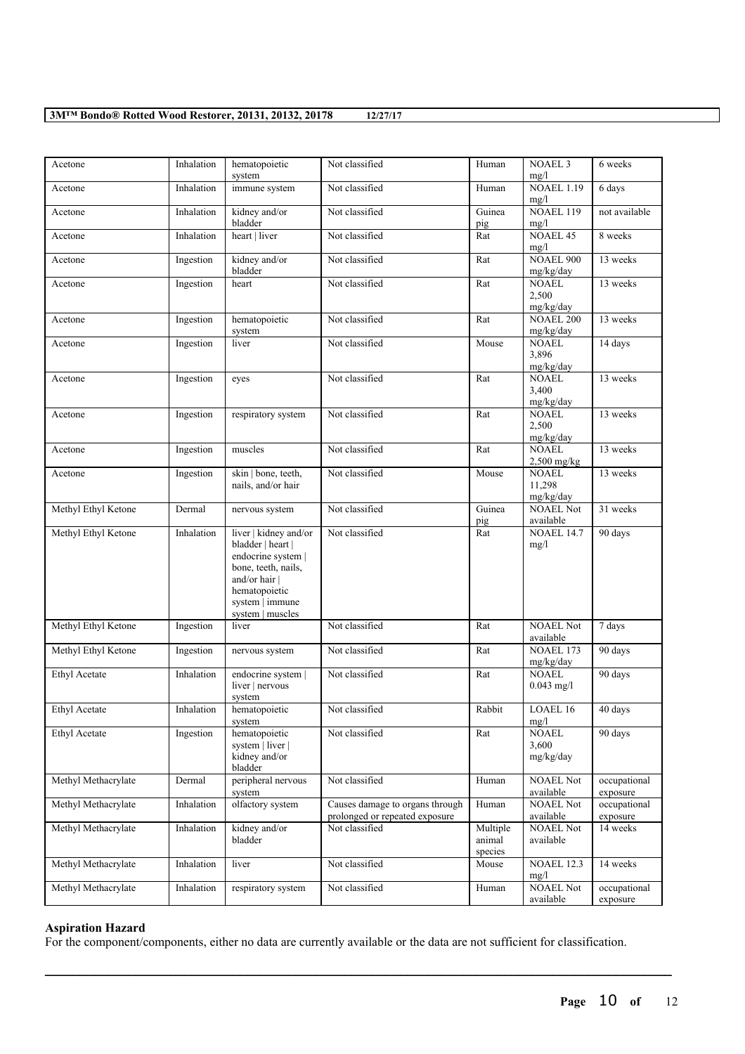| Acetone              | Inhalation | hematopoietic<br>system                                                                                                                                        | Not classified                                                    | Human                         | <b>NOAEL 3</b><br>mg/l              | 6 weeks                  |
|----------------------|------------|----------------------------------------------------------------------------------------------------------------------------------------------------------------|-------------------------------------------------------------------|-------------------------------|-------------------------------------|--------------------------|
| Acetone              | Inhalation | immune system                                                                                                                                                  | Not classified                                                    | Human                         | <b>NOAEL 1.19</b><br>mg/l           | 6 days                   |
| Acetone              | Inhalation | kidney and/or<br>bladder                                                                                                                                       | Not classified                                                    | Guinea<br>pig                 | <b>NOAEL 119</b><br>mg/l            | not available            |
| Acetone              | Inhalation | heart   liver                                                                                                                                                  | Not classified                                                    | Rat                           | <b>NOAEL 45</b><br>mg/l             | 8 weeks                  |
| Acetone              | Ingestion  | kidney and/or<br>bladder                                                                                                                                       | Not classified                                                    | Rat                           | <b>NOAEL 900</b><br>mg/kg/day       | 13 weeks                 |
| Acetone              | Ingestion  | heart                                                                                                                                                          | Not classified                                                    | Rat                           | <b>NOAEL</b><br>2,500<br>mg/kg/day  | 13 weeks                 |
| Acetone              | Ingestion  | hematopoietic<br>system                                                                                                                                        | Not classified                                                    | Rat                           | <b>NOAEL 200</b><br>mg/kg/day       | 13 weeks                 |
| Acetone              | Ingestion  | liver                                                                                                                                                          | Not classified                                                    | Mouse                         | <b>NOAEL</b><br>3,896<br>mg/kg/day  | 14 days                  |
| Acetone              | Ingestion  | eyes                                                                                                                                                           | Not classified                                                    | Rat                           | <b>NOAEL</b><br>3,400<br>mg/kg/day  | 13 weeks                 |
| Acetone              | Ingestion  | respiratory system                                                                                                                                             | Not classified                                                    | Rat                           | <b>NOAEL</b><br>2,500<br>mg/kg/day  | 13 weeks                 |
| Acetone              | Ingestion  | muscles                                                                                                                                                        | Not classified                                                    | Rat                           | <b>NOAEL</b><br>2,500 mg/kg         | 13 weeks                 |
| Acetone              | Ingestion  | skin   bone, teeth,<br>nails, and/or hair                                                                                                                      | Not classified                                                    | Mouse                         | <b>NOAEL</b><br>11,298<br>mg/kg/day | 13 weeks                 |
| Methyl Ethyl Ketone  | Dermal     | nervous system                                                                                                                                                 | Not classified                                                    | Guinea<br>pig                 | <b>NOAEL Not</b><br>available       | 31 weeks                 |
| Methyl Ethyl Ketone  | Inhalation | liver   kidney and/or<br>bladder   heart  <br>endocrine system  <br>bone, teeth, nails,<br>and/or hair<br>hematopoietic<br>system   immune<br>system   muscles | Not classified                                                    | Rat                           | <b>NOAEL 14.7</b><br>mg/l           | 90 days                  |
| Methyl Ethyl Ketone  | Ingestion  | liver                                                                                                                                                          | Not classified                                                    | Rat                           | <b>NOAEL Not</b><br>available       | 7 days                   |
| Methyl Ethyl Ketone  | Ingestion  | nervous system                                                                                                                                                 | Not classified                                                    | Rat                           | <b>NOAEL 173</b><br>mg/kg/day       | 90 days                  |
| <b>Ethyl Acetate</b> | Inhalation | endocrine system  <br>liver   nervous<br>system                                                                                                                | Not classified                                                    | Rat                           | <b>NOAEL</b><br>$0.043$ mg/l        | 90 days                  |
| Ethyl Acetate        | Inhalation | hematopoietic<br>system                                                                                                                                        | Not classified                                                    | Rabbit                        | LOAEL 16<br>mg/l                    | 40 days                  |
| Ethyl Acetate        | Ingestion  | hematopoietic<br>system   liver  <br>kidney and/or<br>bladder                                                                                                  | Not classified                                                    | Rat                           | <b>NOAEL</b><br>3,600<br>mg/kg/day  | 90 days                  |
| Methyl Methacrylate  | Dermal     | peripheral nervous<br>system                                                                                                                                   | Not classified                                                    | Human                         | <b>NOAEL Not</b><br>available       | occupational<br>exposure |
| Methyl Methacrylate  | Inhalation | olfactory system                                                                                                                                               | Causes damage to organs through<br>prolonged or repeated exposure | Human                         | <b>NOAEL Not</b><br>available       | occupational<br>exposure |
| Methyl Methacrylate  | Inhalation | kidney and/or<br>bladder                                                                                                                                       | Not classified                                                    | Multiple<br>animal<br>species | <b>NOAEL Not</b><br>available       | 14 weeks                 |
| Methyl Methacrylate  | Inhalation | liver                                                                                                                                                          | Not classified                                                    | Mouse                         | <b>NOAEL 12.3</b><br>mg/l           | 14 weeks                 |
| Methyl Methacrylate  | Inhalation | respiratory system                                                                                                                                             | Not classified                                                    | Human                         | <b>NOAEL Not</b><br>available       | occupational<br>exposure |

## **Aspiration Hazard**

For the component/components, either no data are currently available or the data are not sufficient for classification.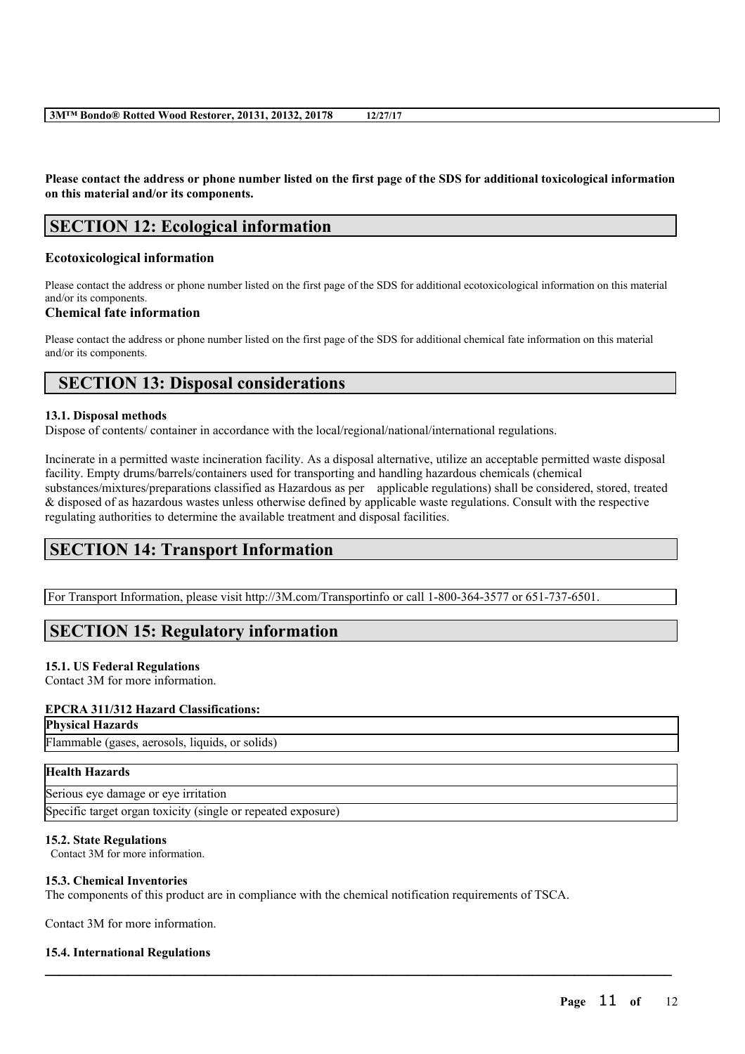Please contact the address or phone number listed on the first page of the SDS for additional toxicological information **on this material and/or its components.**

# **SECTION 12: Ecological information**

## **Ecotoxicological information**

Please contact the address or phone number listed on the first page of the SDS for additional ecotoxicological information on this material and/or its components.

### **Chemical fate information**

Please contact the address or phone number listed on the first page of the SDS for additional chemical fate information on this material and/or its components.

# **SECTION 13: Disposal considerations**

### **13.1. Disposal methods**

Dispose of contents/ container in accordance with the local/regional/national/international regulations.

Incinerate in a permitted waste incineration facility. As a disposal alternative, utilize an acceptable permitted waste disposal facility. Empty drums/barrels/containers used for transporting and handling hazardous chemicals (chemical substances/mixtures/preparations classified as Hazardous as per applicable regulations) shall be considered, stored, treated & disposed of as hazardous wastes unless otherwise defined by applicable waste regulations. Consult with the respective regulating authorities to determine the available treatment and disposal facilities.

# **SECTION 14: Transport Information**

For Transport Information, please visit http://3M.com/Transportinfo or call 1-800-364-3577 or 651-737-6501.

# **SECTION 15: Regulatory information**

### **15.1. US Federal Regulations**

Contact 3M for more information.

### **EPCRA 311/312 Hazard Classifications:**

### **Physical Hazards**

Flammable (gases, aerosols, liquids, or solids)

### **Health Hazards**

Serious eye damage or eye irritation

Specific target organ toxicity (single or repeated exposure)

### **15.2. State Regulations**

Contact 3M for more information.

### **15.3. Chemical Inventories**

The components of this product are in compliance with the chemical notification requirements of TSCA.

 $\mathcal{L}_\mathcal{L} = \mathcal{L}_\mathcal{L} = \mathcal{L}_\mathcal{L} = \mathcal{L}_\mathcal{L} = \mathcal{L}_\mathcal{L} = \mathcal{L}_\mathcal{L} = \mathcal{L}_\mathcal{L} = \mathcal{L}_\mathcal{L} = \mathcal{L}_\mathcal{L} = \mathcal{L}_\mathcal{L} = \mathcal{L}_\mathcal{L} = \mathcal{L}_\mathcal{L} = \mathcal{L}_\mathcal{L} = \mathcal{L}_\mathcal{L} = \mathcal{L}_\mathcal{L} = \mathcal{L}_\mathcal{L} = \mathcal{L}_\mathcal{L}$ 

Contact 3M for more information.

### **15.4. International Regulations**